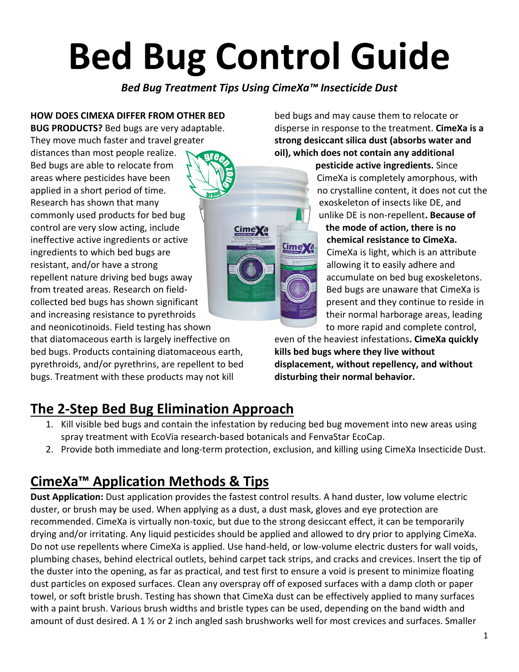# **Bed Bug Control Guide**

*Bed Bug Treatment Tips Using CimeXa™ Insecticide Dust*

**Cime** Xa

Cime**X**a

**HOW DOES CIMEXA DIFFER FROM OTHER BED BUG PRODUCTS?** Bed bugs are very adaptable. They move much faster and travel greater distances than most people realize. Bed bugs are able to relocate from areas where pesticides have been applied in a short period of time. Research has shown that many commonly used products for bed bug control are very slow acting, include ineffective active ingredients or active ingredients to which bed bugs are resistant, and/or have a strong repellent nature driving bed bugs away from treated areas. Research on fieldcollected bed bugs has shown significant and increasing resistance to pyrethroids and neonicotinoids. Field testing has shown

that diatomaceous earth is largely ineffective on bed bugs. Products containing diatomaceous earth, pyrethroids, and/or pyrethrins, are repellent to bed bugs. Treatment with these products may not kill

bed bugs and may cause them to relocate or disperse in response to the treatment. **CimeXa is a strong desiccant silica dust (absorbs water and oil), which does not contain any additional** 

> **pesticide active ingredients.** Since CimeXa is completely amorphous, with no crystalline content, it does not cut the exoskeleton of insects like DE, and unlike DE is non-repellent**. Because of the mode of action, there is no chemical resistance to CimeXa.** CimeXa is light, which is an attribute allowing it to easily adhere and accumulate on bed bug exoskeletons. Bed bugs are unaware that CimeXa is present and they continue to reside in their normal harborage areas, leading to more rapid and complete control,

even of the heaviest infestations**. CimeXa quickly kills bed bugs where they live without displacement, without repellency, and without disturbing their normal behavior.**

## **The 2-Step Bed Bug Elimination Approach**

- 1. Kill visible bed bugs and contain the infestation by reducing bed bug movement into new areas using spray treatment with EcoVia research-based botanicals and FenvaStar EcoCap.
- 2. Provide both immediate and long-term protection, exclusion, and killing using CimeXa Insecticide Dust.

## **CimeXa™ Application Methods & Tips**

**Dust Application:** Dust application provides the fastest control results. A hand duster, low volume electric duster, or brush may be used. When applying as a dust, a dust mask, gloves and eye protection are recommended. CimeXa is virtually non-toxic, but due to the strong desiccant effect, it can be temporarily drying and/or irritating. Any liquid pesticides should be applied and allowed to dry prior to applying CimeXa. Do not use repellents where CimeXa is applied. Use hand-held, or low-volume electric dusters for wall voids, plumbing chases, behind electrical outlets, behind carpet tack strips, and cracks and crevices. Insert the tip of the duster into the opening, as far as practical, and test first to ensure a void is present to minimize floating dust particles on exposed surfaces. Clean any overspray off of exposed surfaces with a damp cloth or paper towel, or soft bristle brush. Testing has shown that CimeXa dust can be effectively applied to many surfaces with a paint brush. Various brush widths and bristle types can be used, depending on the band width and amount of dust desired. A 1 ½ or 2 inch angled sash brushworks well for most crevices and surfaces. Smaller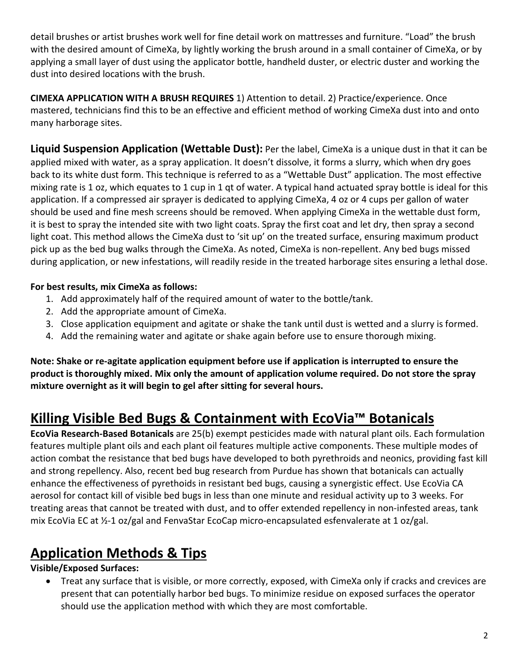detail brushes or artist brushes work well for fine detail work on mattresses and furniture. "Load" the brush with the desired amount of CimeXa, by lightly working the brush around in a small container of CimeXa, or by applying a small layer of dust using the applicator bottle, handheld duster, or electric duster and working the dust into desired locations with the brush.

**CIMEXA APPLICATION WITH A BRUSH REQUIRES** 1) Attention to detail. 2) Practice/experience. Once mastered, technicians find this to be an effective and efficient method of working CimeXa dust into and onto many harborage sites.

**Liquid Suspension Application (Wettable Dust):** Per the label, CimeXa is a unique dust in that it can be applied mixed with water, as a spray application. It doesn't dissolve, it forms a slurry, which when dry goes back to its white dust form. This technique is referred to as a "Wettable Dust" application. The most effective mixing rate is 1 oz, which equates to 1 cup in 1 qt of water. A typical hand actuated spray bottle is ideal for this application. If a compressed air sprayer is dedicated to applying CimeXa, 4 oz or 4 cups per gallon of water should be used and fine mesh screens should be removed. When applying CimeXa in the wettable dust form, it is best to spray the intended site with two light coats. Spray the first coat and let dry, then spray a second light coat. This method allows the CimeXa dust to 'sit up' on the treated surface, ensuring maximum product pick up as the bed bug walks through the CimeXa. As noted, CimeXa is non-repellent. Any bed bugs missed during application, or new infestations, will readily reside in the treated harborage sites ensuring a lethal dose.

#### **For best results, mix CimeXa as follows:**

- 1. Add approximately half of the required amount of water to the bottle/tank.
- 2. Add the appropriate amount of CimeXa.
- 3. Close application equipment and agitate or shake the tank until dust is wetted and a slurry is formed.
- 4. Add the remaining water and agitate or shake again before use to ensure thorough mixing.

**Note: Shake or re-agitate application equipment before use if application is interrupted to ensure the product is thoroughly mixed. Mix only the amount of application volume required. Do not store the spray mixture overnight as it will begin to gel after sitting for several hours.**

## **Killing Visible Bed Bugs & Containment with EcoVia™ Botanicals**

**EcoVia Research-Based Botanicals** are 25(b) exempt pesticides made with natural plant oils. Each formulation features multiple plant oils and each plant oil features multiple active components. These multiple modes of action combat the resistance that bed bugs have developed to both pyrethroids and neonics, providing fast kill and strong repellency. Also, recent bed bug research from Purdue has shown that botanicals can actually enhance the effectiveness of pyrethoids in resistant bed bugs, causing a synergistic effect. Use EcoVia CA aerosol for contact kill of visible bed bugs in less than one minute and residual activity up to 3 weeks. For treating areas that cannot be treated with dust, and to offer extended repellency in non-infested areas, tank mix EcoVia EC at ½-1 oz/gal and FenvaStar EcoCap micro-encapsulated esfenvalerate at 1 oz/gal.

## **Application Methods & Tips**

**Visible/Exposed Surfaces:** 

• Treat any surface that is visible, or more correctly, exposed, with CimeXa only if cracks and crevices are present that can potentially harbor bed bugs. To minimize residue on exposed surfaces the operator should use the application method with which they are most comfortable.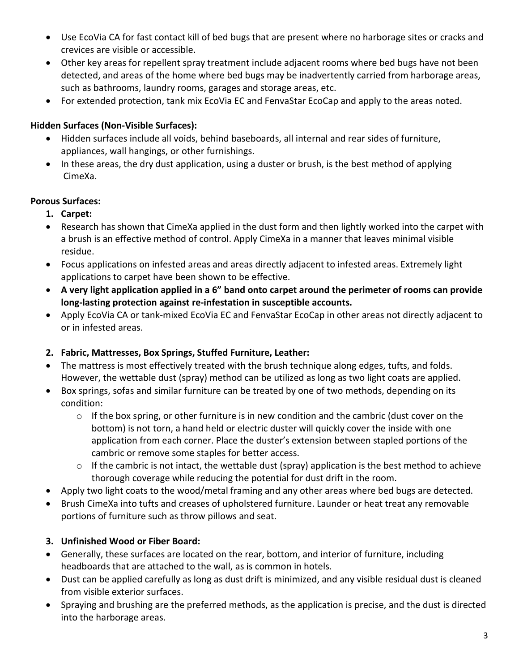- Use EcoVia CA for fast contact kill of bed bugs that are present where no harborage sites or cracks and crevices are visible or accessible.
- Other key areas for repellent spray treatment include adjacent rooms where bed bugs have not been detected, and areas of the home where bed bugs may be inadvertently carried from harborage areas, such as bathrooms, laundry rooms, garages and storage areas, etc.
- For extended protection, tank mix EcoVia EC and FenvaStar EcoCap and apply to the areas noted.

#### **Hidden Surfaces (Non-Visible Surfaces):**

- Hidden surfaces include all voids, behind baseboards, all internal and rear sides of furniture, appliances, wall hangings, or other furnishings.
- In these areas, the dry dust application, using a duster or brush, is the best method of applying CimeXa.

#### **Porous Surfaces:**

- **1. Carpet:**
- Research has shown that CimeXa applied in the dust form and then lightly worked into the carpet with a brush is an effective method of control. Apply CimeXa in a manner that leaves minimal visible residue.
- Focus applications on infested areas and areas directly adjacent to infested areas. Extremely light applications to carpet have been shown to be effective.
- **A very light application applied in a 6" band onto carpet around the perimeter of rooms can provide long-lasting protection against re-infestation in susceptible accounts.**
- Apply EcoVia CA or tank-mixed EcoVia EC and FenvaStar EcoCap in other areas not directly adjacent to or in infested areas.

#### **2. Fabric, Mattresses, Box Springs, Stuffed Furniture, Leather:**

- The mattress is most effectively treated with the brush technique along edges, tufts, and folds. However, the wettable dust (spray) method can be utilized as long as two light coats are applied.
- Box springs, sofas and similar furniture can be treated by one of two methods, depending on its condition:
	- $\circ$  If the box spring, or other furniture is in new condition and the cambric (dust cover on the bottom) is not torn, a hand held or electric duster will quickly cover the inside with one application from each corner. Place the duster's extension between stapled portions of the cambric or remove some staples for better access.
	- o If the cambric is not intact, the wettable dust (spray) application is the best method to achieve thorough coverage while reducing the potential for dust drift in the room.
- Apply two light coats to the wood/metal framing and any other areas where bed bugs are detected.
- Brush CimeXa into tufts and creases of upholstered furniture. Launder or heat treat any removable portions of furniture such as throw pillows and seat.

#### **3. Unfinished Wood or Fiber Board:**

- Generally, these surfaces are located on the rear, bottom, and interior of furniture, including headboards that are attached to the wall, as is common in hotels.
- Dust can be applied carefully as long as dust drift is minimized, and any visible residual dust is cleaned from visible exterior surfaces.
- Spraying and brushing are the preferred methods, as the application is precise, and the dust is directed into the harborage areas.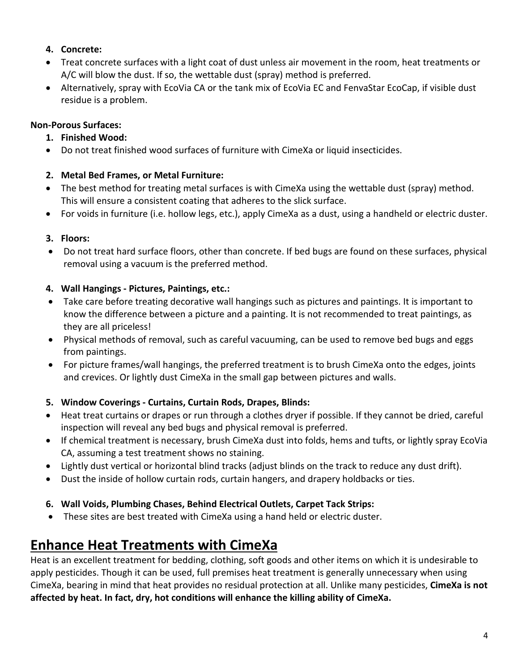#### **4. Concrete:**

- Treat concrete surfaces with a light coat of dust unless air movement in the room, heat treatments or A/C will blow the dust. If so, the wettable dust (spray) method is preferred.
- Alternatively, spray with EcoVia CA or the tank mix of EcoVia EC and FenvaStar EcoCap, if visible dust residue is a problem.

#### **Non-Porous Surfaces:**

#### **1. Finished Wood:**

• Do not treat finished wood surfaces of furniture with CimeXa or liquid insecticides.

#### **2. Metal Bed Frames, or Metal Furniture:**

- The best method for treating metal surfaces is with CimeXa using the wettable dust (spray) method. This will ensure a consistent coating that adheres to the slick surface.
- For voids in furniture (i.e. hollow legs, etc.), apply CimeXa as a dust, using a handheld or electric duster.

#### **3. Floors:**

• Do not treat hard surface floors, other than concrete. If bed bugs are found on these surfaces, physical removal using a vacuum is the preferred method.

#### **4. Wall Hangings - Pictures, Paintings, etc.:**

- Take care before treating decorative wall hangings such as pictures and paintings. It is important to know the difference between a picture and a painting. It is not recommended to treat paintings, as they are all priceless!
- Physical methods of removal, such as careful vacuuming, can be used to remove bed bugs and eggs from paintings.
- For picture frames/wall hangings, the preferred treatment is to brush CimeXa onto the edges, joints and crevices. Or lightly dust CimeXa in the small gap between pictures and walls.

#### **5. Window Coverings - Curtains, Curtain Rods, Drapes, Blinds:**

- Heat treat curtains or drapes or run through a clothes dryer if possible. If they cannot be dried, careful inspection will reveal any bed bugs and physical removal is preferred.
- If chemical treatment is necessary, brush CimeXa dust into folds, hems and tufts, or lightly spray EcoVia CA, assuming a test treatment shows no staining.
- Lightly dust vertical or horizontal blind tracks (adjust blinds on the track to reduce any dust drift).
- Dust the inside of hollow curtain rods, curtain hangers, and drapery holdbacks or ties.

#### **6. Wall Voids, Plumbing Chases, Behind Electrical Outlets, Carpet Tack Strips:**

• These sites are best treated with CimeXa using a hand held or electric duster.

### **Enhance Heat Treatments with CimeXa**

Heat is an excellent treatment for bedding, clothing, soft goods and other items on which it is undesirable to apply pesticides. Though it can be used, full premises heat treatment is generally unnecessary when using CimeXa, bearing in mind that heat provides no residual protection at all. Unlike many pesticides, **CimeXa is not affected by heat. In fact, dry, hot conditions will enhance the killing ability of CimeXa.**